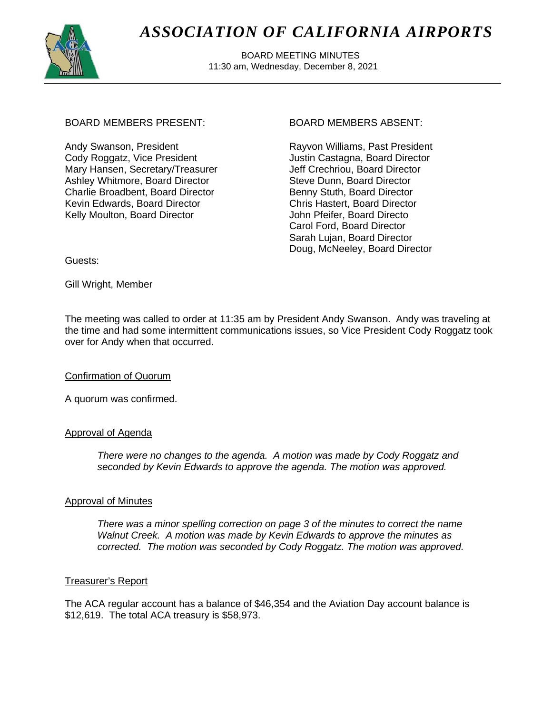

# *ASSOCIATION OF CALIFORNIA AIRPORTS*

 BOARD MEETING MINUTES 11:30 am, Wednesday, December 8, 2021

# BOARD MEMBERS PRESENT: BOARD MEMBERS ABSENT:

Andy Swanson, President Cody Roggatz, Vice President Mary Hansen, Secretary/Treasurer Ashley Whitmore, Board Director Charlie Broadbent, Board Director Kevin Edwards, Board Director Kelly Moulton, Board Director

Rayvon Williams, Past President Justin Castagna, Board Director Jeff Crechriou, Board Director Steve Dunn, Board Director Benny Stuth, Board Director Chris Hastert, Board Director John Pfeifer, Board Directo Carol Ford, Board Director Sarah Lujan, Board Director Doug, McNeeley, Board Director

Guests:

Gill Wright, Member

The meeting was called to order at 11:35 am by President Andy Swanson. Andy was traveling at the time and had some intermittent communications issues, so Vice President Cody Roggatz took over for Andy when that occurred.

# Confirmation of Quorum

A quorum was confirmed.

#### Approval of Agenda

*There were no changes to the agenda. A motion was made by Cody Roggatz and seconded by Kevin Edwards to approve the agenda. The motion was approved.*

# Approval of Minutes

*There was a minor spelling correction on page 3 of the minutes to correct the name Walnut Creek. A motion was made by Kevin Edwards to approve the minutes as corrected. The motion was seconded by Cody Roggatz. The motion was approved.*

# Treasurer's Report

The ACA regular account has a balance of \$46,354 and the Aviation Day account balance is \$12,619. The total ACA treasury is \$58,973.